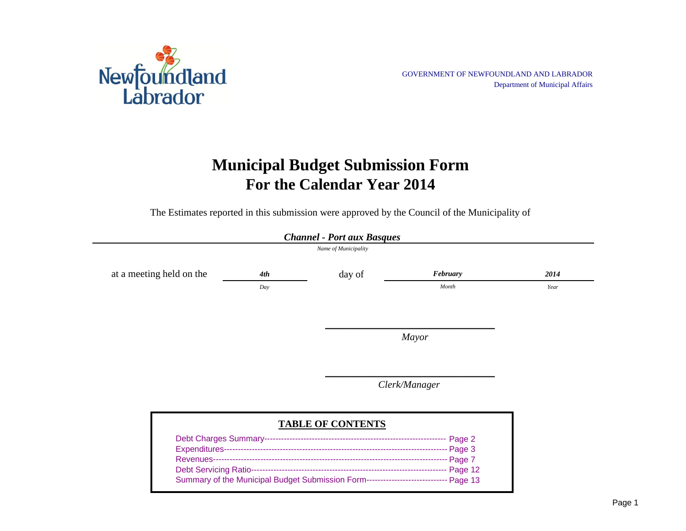

# **For the Calendar Year 2014 Municipal Budget Submission Form**

The Estimates reported in this submission were approved by the Council of the Municipality of

|                          |     | Name of Municipality     |               |      |
|--------------------------|-----|--------------------------|---------------|------|
| at a meeting held on the | 4th | day of                   | February      | 2014 |
|                          | Day |                          | Month         | Year |
|                          |     |                          | Mayor         |      |
|                          |     |                          |               |      |
|                          |     |                          | Clerk/Manager |      |
|                          |     |                          |               |      |
|                          |     | <b>TABLE OF CONTENTS</b> |               |      |
|                          |     |                          |               |      |
|                          |     |                          |               |      |

Page 12 Debt Servicing Ratio---------------------------------------------------------------------- Summary of the Municipal Budget Submission Form------------------------------ Page 13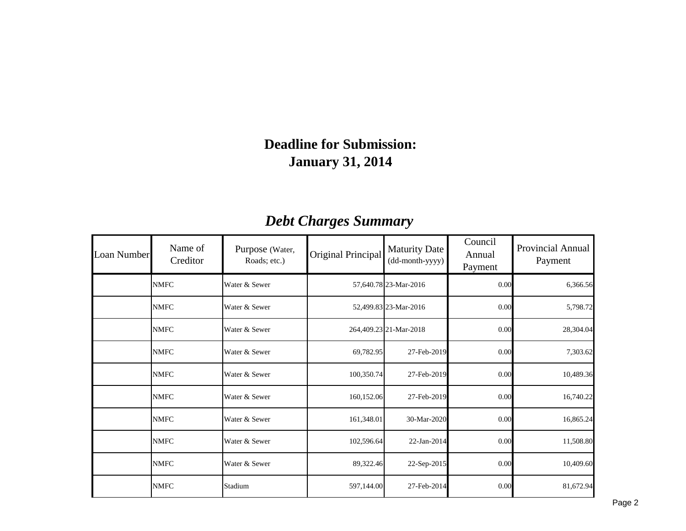# **January 31, 2014 Deadline for Submission:**

# *Debt Charges Summary*

| Loan Number | Name of<br>Creditor | Purpose (Water,<br>Roads; etc.) | Original Principal | <b>Maturity Date</b><br>(dd-month-yyyy) | Council<br>Annual<br>Payment | Provincial Annual<br>Payment |
|-------------|---------------------|---------------------------------|--------------------|-----------------------------------------|------------------------------|------------------------------|
|             | <b>NMFC</b>         | Water & Sewer                   |                    | 57,640.78 23-Mar-2016                   | 0.00                         | 6,366.56                     |
|             | <b>NMFC</b>         | Water & Sewer                   |                    | 52,499.83 23-Mar-2016                   | 0.00                         | 5,798.72                     |
|             | <b>NMFC</b>         | Water & Sewer                   |                    | 264,409.23 21-Mar-2018                  | 0.00                         | 28,304.04                    |
|             | <b>NMFC</b>         | Water & Sewer                   | 69,782.95          | 27-Feb-2019                             | 0.00                         | 7,303.62                     |
|             | <b>NMFC</b>         | Water & Sewer                   | 100,350.74         | 27-Feb-2019                             | 0.00                         | 10,489.36                    |
|             | <b>NMFC</b>         | Water & Sewer                   | 160,152.06         | 27-Feb-2019                             | 0.00                         | 16,740.22                    |
|             | <b>NMFC</b>         | Water & Sewer                   | 161,348.01         | 30-Mar-2020                             | 0.00                         | 16,865.24                    |
|             | <b>NMFC</b>         | Water & Sewer                   | 102,596.64         | 22-Jan-2014                             | 0.00                         | 11,508.80                    |
|             | <b>NMFC</b>         | Water & Sewer                   | 89,322.46          | 22-Sep-2015                             | 0.00                         | 10,409.60                    |
|             | <b>NMFC</b>         | Stadium                         | 597,144.00         | 27-Feb-2014                             | 0.00                         | 81,672.94                    |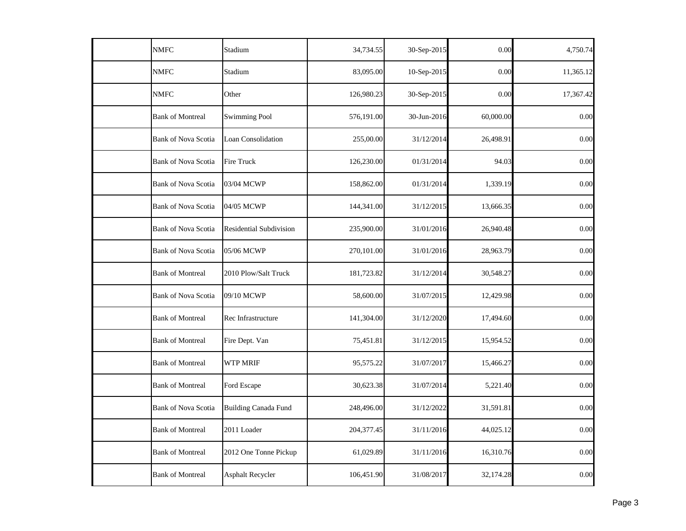| <b>NMFC</b>                | Stadium                     | 34,734.55  | 30-Sep-2015 | 0.00      | 4,750.74  |
|----------------------------|-----------------------------|------------|-------------|-----------|-----------|
| <b>NMFC</b>                | Stadium                     | 83,095.00  | 10-Sep-2015 | 0.00      | 11,365.12 |
| <b>NMFC</b>                | Other                       | 126,980.23 | 30-Sep-2015 | 0.00      | 17,367.42 |
| <b>Bank of Montreal</b>    | <b>Swimming Pool</b>        | 576,191.00 | 30-Jun-2016 | 60,000.00 | 0.00      |
| <b>Bank of Nova Scotia</b> | Loan Consolidation          | 255,00.00  | 31/12/2014  | 26,498.91 | 0.00      |
| <b>Bank of Nova Scotia</b> | <b>Fire Truck</b>           | 126,230.00 | 01/31/2014  | 94.03     | 0.00      |
| <b>Bank of Nova Scotia</b> | 03/04 MCWP                  | 158,862.00 | 01/31/2014  | 1,339.19  | 0.00      |
| Bank of Nova Scotia        | 04/05 MCWP                  | 144,341.00 | 31/12/2015  | 13,666.35 | 0.00      |
| <b>Bank of Nova Scotia</b> | Residential Subdivision     | 235,900.00 | 31/01/2016  | 26,940.48 | 0.00      |
| Bank of Nova Scotia        | 05/06 MCWP                  | 270,101.00 | 31/01/2016  | 28,963.79 | 0.00      |
| <b>Bank of Montreal</b>    | 2010 Plow/Salt Truck        | 181,723.82 | 31/12/2014  | 30,548.27 | 0.00      |
| <b>Bank of Nova Scotia</b> | 09/10 MCWP                  | 58,600.00  | 31/07/2015  | 12,429.98 | 0.00      |
| <b>Bank of Montreal</b>    | Rec Infrastructure          | 141,304.00 | 31/12/2020  | 17,494.60 | 0.00      |
| <b>Bank of Montreal</b>    | Fire Dept. Van              | 75,451.81  | 31/12/2015  | 15,954.52 | 0.00      |
| <b>Bank of Montreal</b>    | <b>WTP MRIF</b>             | 95,575.22  | 31/07/2017  | 15,466.27 | 0.00      |
| <b>Bank of Montreal</b>    | Ford Escape                 | 30,623.38  | 31/07/2014  | 5,221.40  | 0.00      |
| <b>Bank of Nova Scotia</b> | <b>Building Canada Fund</b> | 248,496.00 | 31/12/2022  | 31,591.81 | 0.00      |
| <b>Bank of Montreal</b>    | 2011 Loader                 | 204,377.45 | 31/11/2016  | 44,025.12 | 0.00      |
| <b>Bank of Montreal</b>    | 2012 One Tonne Pickup       | 61,029.89  | 31/11/2016  | 16,310.76 | 0.00      |
| <b>Bank of Montreal</b>    | Asphalt Recycler            | 106,451.90 | 31/08/2017  | 32,174.28 | 0.00      |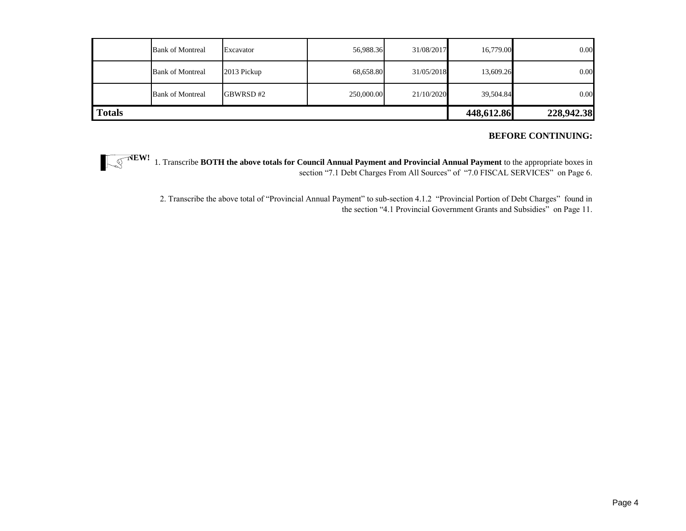|               | <b>Bank of Montreal</b> | Excavator   | 56,988.36  | 31/08/2017 | 16,779.00  | 0.00       |
|---------------|-------------------------|-------------|------------|------------|------------|------------|
|               | <b>Bank of Montreal</b> | 2013 Pickup | 68,658.80  | 31/05/2018 | 13,609.26  | 0.00       |
|               | <b>Bank of Montreal</b> | GBWRSD#2    | 250,000.00 | 21/10/2020 | 39,504.84  | 0.00       |
| <b>Totals</b> |                         |             |            |            | 448,612.86 | 228,942.38 |

#### **BEFORE CONTINUING:**

 $\sqrt{S}^{\text{NEW!}}$ 1. Transcribe **BOTH the above totals for Council Annual Payment and Provincial Annual Payment** to the appropriate boxes in section "7.1 Debt Charges From All Sources" of "7.0 FISCAL SERVICES" on Page 6.

> 2. Transcribe the above total of "Provincial Annual Payment" to sub-section 4.1.2 "Provincial Portion of Debt Charges" found in the section "4.1 Provincial Government Grants and Subsidies" on Page 11.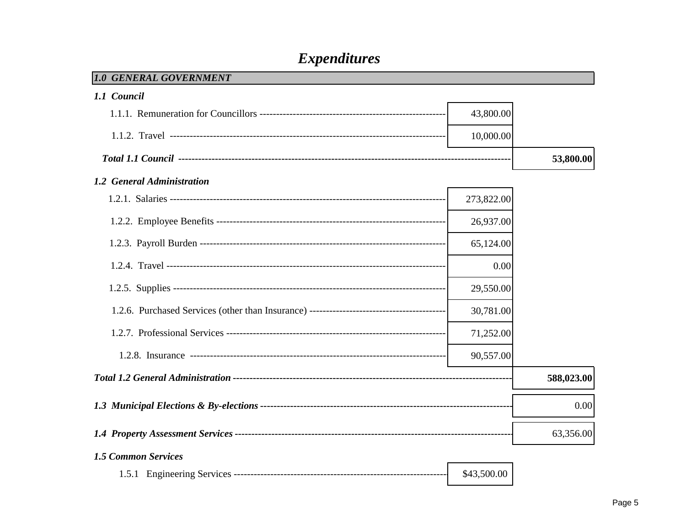# **Expenditures**

| <b>1.0 GENERAL GOVERNMENT</b> |             |            |
|-------------------------------|-------------|------------|
| 1.1 Council                   |             |            |
|                               | 43,800.00   |            |
|                               | 10,000.00   |            |
|                               |             | 53,800.00  |
| 1.2 General Administration    |             |            |
|                               | 273,822.00  |            |
|                               | 26,937.00   |            |
|                               | 65,124.00   |            |
|                               | 0.00        |            |
|                               | 29,550.00   |            |
|                               | 30,781.00   |            |
|                               | 71,252.00   |            |
|                               | 90,557.00   |            |
|                               |             | 588,023.00 |
|                               |             | 0.00       |
|                               |             | 63,356.00  |
| <b>1.5 Common Services</b>    |             |            |
|                               | \$43,500.00 |            |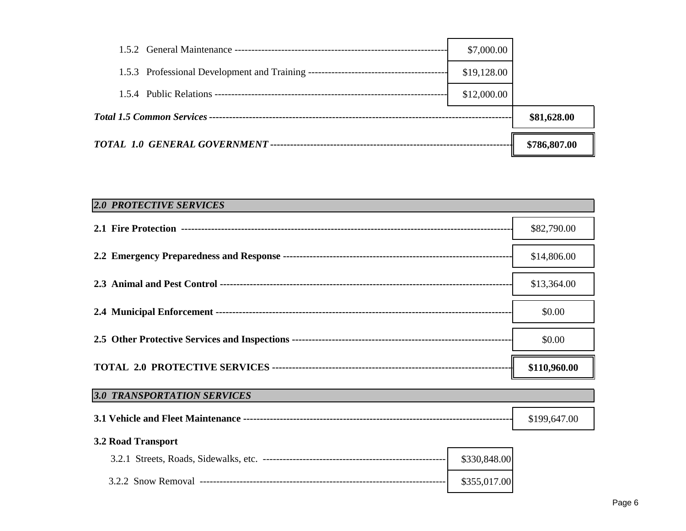|  | \$786,807.00 |  |
|--|--------------|--|
|  | \$81,628.00  |  |
|  | \$12,000.00  |  |
|  | \$19,128.00  |  |
|  | \$7,000.00   |  |

| <b>2.0 PROTECTIVE SERVICES</b>     |              |
|------------------------------------|--------------|
|                                    | \$82,790.00  |
|                                    | \$14,806.00  |
|                                    | \$13,364.00  |
|                                    | \$0.00       |
|                                    | \$0.00       |
|                                    |              |
|                                    | \$110,960.00 |
| <b>3.0 TRANSPORTATION SERVICES</b> |              |
|                                    | \$199,647.00 |
| <b>3.2 Road Transport</b>          |              |
| \$330,848.00                       |              |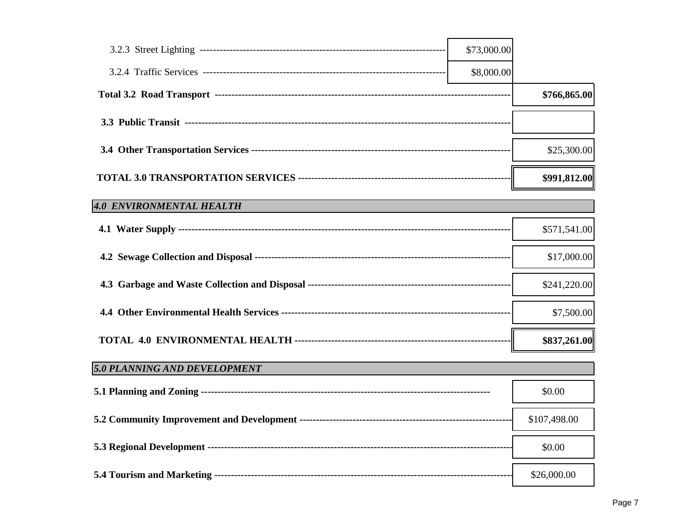|                                 | \$73,000.00 |              |
|---------------------------------|-------------|--------------|
|                                 | \$8,000.00  |              |
|                                 |             | \$766,865.00 |
|                                 |             |              |
|                                 |             | \$25,300.00  |
|                                 |             | \$991,812.00 |
| <b>4.0 ENVIRONMENTAL HEALTH</b> |             |              |
|                                 |             | \$571,541.00 |
|                                 |             | \$17,000.00  |
|                                 |             | \$241,220.00 |
|                                 |             | \$7,500.00   |
|                                 |             | \$837,261.00 |
| 5.0 PLANNING AND DEVELOPMENT    |             |              |
|                                 |             | \$0.00       |
|                                 |             | \$107,498.00 |
|                                 |             | \$0.00       |
|                                 |             | \$26,000.00  |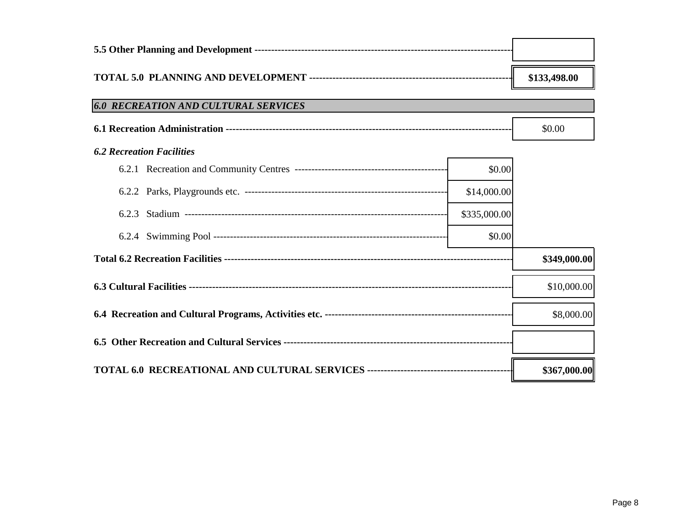|                                             |              | \$133,498.00 |
|---------------------------------------------|--------------|--------------|
| <b>6.0 RECREATION AND CULTURAL SERVICES</b> |              |              |
|                                             |              | \$0.00       |
| <b>6.2 Recreation Facilities</b>            |              |              |
|                                             | \$0.00       |              |
|                                             | \$14,000.00  |              |
| 6.2.3                                       | \$335,000.00 |              |
|                                             | \$0.00       |              |
|                                             |              | \$349,000.00 |
|                                             |              | \$10,000.00  |
|                                             |              | \$8,000.00   |
|                                             |              |              |
|                                             |              | \$367,000.00 |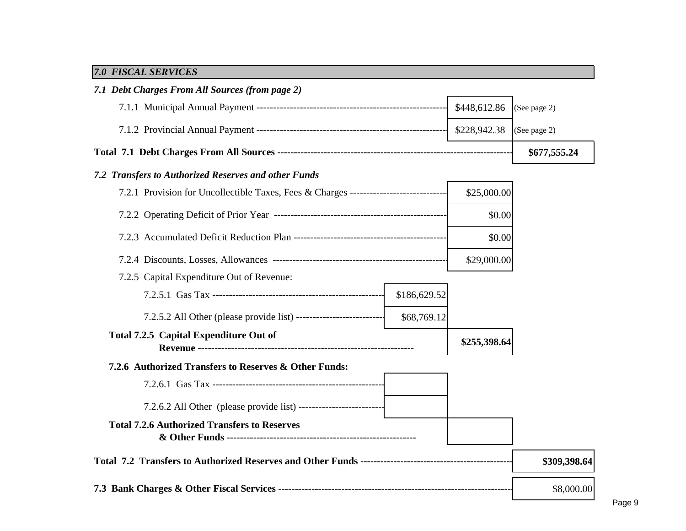## **7.0 FISCAL SERVICES**

| 7.1 Debt Charges From All Sources (from page 2)                                      |              |              |              |
|--------------------------------------------------------------------------------------|--------------|--------------|--------------|
|                                                                                      |              | \$448,612.86 | (See page 2) |
|                                                                                      |              | \$228,942.38 | (See page 2) |
|                                                                                      |              |              | \$677,555.24 |
| 7.2 Transfers to Authorized Reserves and other Funds                                 |              |              |              |
| 7.2.1 Provision for Uncollectible Taxes, Fees & Charges ---------------------------- |              | \$25,000.00  |              |
|                                                                                      |              | \$0.00       |              |
|                                                                                      |              | \$0.00       |              |
|                                                                                      |              | \$29,000.00  |              |
| 7.2.5 Capital Expenditure Out of Revenue:                                            |              |              |              |
|                                                                                      | \$186,629.52 |              |              |
|                                                                                      | \$68,769.12  |              |              |
| <b>Total 7.2.5 Capital Expenditure Out of</b>                                        |              | \$255,398.64 |              |
| 7.2.6 Authorized Transfers to Reserves & Other Funds:                                |              |              |              |
|                                                                                      |              |              |              |
| 7.2.6.2 All Other (please provide list) --------------------------                   |              |              |              |
| <b>Total 7.2.6 Authorized Transfers to Reserves</b>                                  |              |              |              |
|                                                                                      |              |              | \$309,398.64 |
|                                                                                      |              |              | \$8,000.00   |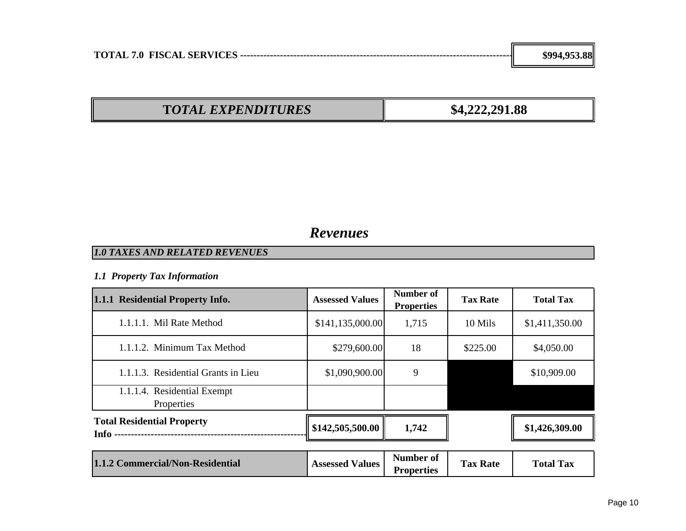| <b>TOTAL</b><br><b>SERVICES</b><br>$.7.0$ FISCAL<br>\$994,953.88 |
|------------------------------------------------------------------|
|------------------------------------------------------------------|

**88** 

## **T***OTAL EXPENDITURES* **\$4,222,291.88**

## *Revenues*

## *1.0 TAXES AND RELATED REVENUES*

## *1.1 Property Tax Information*

| 1.1.1 Residential Property Info.                                     | <b>Assessed Values</b> | <b>Number of</b><br><b>Properties</b>               | <b>Tax Rate</b> | <b>Total Tax</b> |
|----------------------------------------------------------------------|------------------------|-----------------------------------------------------|-----------------|------------------|
| 1.1.1.1. Mil Rate Method                                             | \$141,135,000.00       | 1,715                                               | 10 Mils         | \$1,411,350.00   |
| 1.1.1.2. Minimum Tax Method                                          | \$279,600.00           | 18                                                  | \$225.00        | \$4,050.00       |
| 1.1.1.3. Residential Grants in Lieu                                  | \$1,090,900.00         | 9                                                   |                 | \$10,909.00      |
| 1.1.1.4. Residential Exempt<br>Properties                            |                        |                                                     |                 |                  |
| <b>Total Residential Property</b><br>Info -------------------------- | \$142,505,500.00       | 1,742                                               |                 | \$1,426,309.00   |
|                                                                      |                        | $\mathbf{r}$ $\mathbf{r}$ $\mathbf{r}$ $\mathbf{r}$ |                 |                  |

| 1.1.2 Commercial/Non-Residential | <b>Assessed Values</b> | Number of<br><b>Properties</b> | <b>Tax Rate</b> | <b>Total Tax</b> |
|----------------------------------|------------------------|--------------------------------|-----------------|------------------|
|----------------------------------|------------------------|--------------------------------|-----------------|------------------|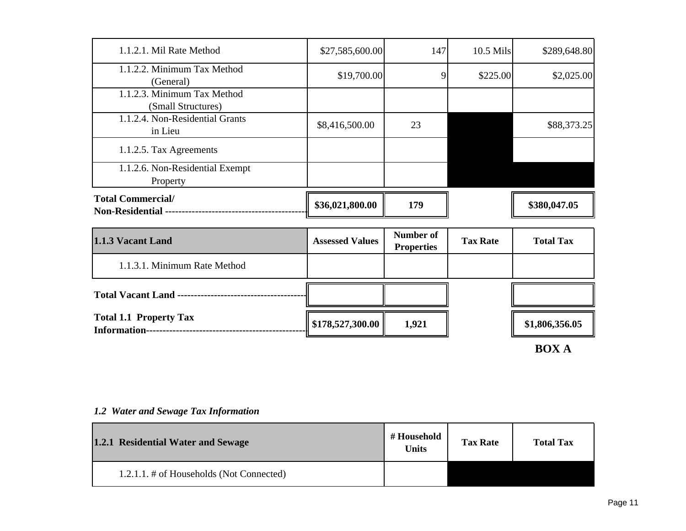| <b>Total 1.1 Property Tax</b><br><b>Information---------------------------</b> | \$178,527,300.00       | 1,921                                 |                 | \$1,806,356.05   |
|--------------------------------------------------------------------------------|------------------------|---------------------------------------|-----------------|------------------|
| <b>Total Vacant Land ------------------------------</b>                        |                        |                                       |                 |                  |
| 1.1.3.1. Minimum Rate Method                                                   |                        |                                       |                 |                  |
| 1.1.3 Vacant Land                                                              | <b>Assessed Values</b> | <b>Number of</b><br><b>Properties</b> | <b>Tax Rate</b> | <b>Total Tax</b> |
| <b>Total Commercial/</b><br>Non-Residential --------------------------------   | \$36,021,800.00        | 179                                   |                 | \$380,047.05     |
| 1.1.2.6. Non-Residential Exempt<br>Property                                    |                        |                                       |                 |                  |
| 1.1.2.5. Tax Agreements                                                        |                        |                                       |                 |                  |
| 1.1.2.4. Non-Residential Grants<br>in Lieu                                     | \$8,416,500.00         | 23                                    |                 | \$88,373.25      |
| 1.1.2.3. Minimum Tax Method<br>(Small Structures)                              |                        |                                       |                 |                  |
| 1.1.2.2. Minimum Tax Method<br>(General)                                       | \$19,700.00            | 9                                     | \$225.00        | \$2,025.00       |
| 1.1.2.1. Mil Rate Method                                                       | \$27,585,600.00        | 147                                   | 10.5 Mils       | \$289,648.80     |

**BOX A**

| 1.2.1 Residential Water and Sewage         | # Household<br><b>Units</b> | <b>Tax Rate</b> | <b>Total Tax</b> |
|--------------------------------------------|-----------------------------|-----------------|------------------|
| $1.2.1.1.$ # of Households (Not Connected) |                             |                 |                  |

### *1.2 Water and Sewage Tax Information*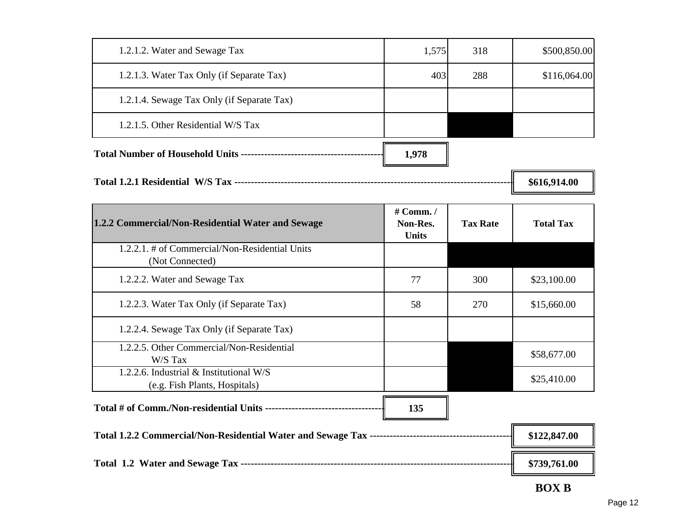| 1.2.1.2. Water and Sewage Tax                                              | 1,575                                | 318             | \$500,850.00     |
|----------------------------------------------------------------------------|--------------------------------------|-----------------|------------------|
| 1.2.1.3. Water Tax Only (if Separate Tax)                                  | 403                                  | 288             | \$116,064.00     |
| 1.2.1.4. Sewage Tax Only (if Separate Tax)                                 |                                      |                 |                  |
| 1.2.1.5. Other Residential W/S Tax                                         |                                      |                 |                  |
|                                                                            | 1,978                                |                 |                  |
|                                                                            |                                      |                 | \$616,914.00     |
| 1.2.2 Commercial/Non-Residential Water and Sewage                          | # Comm./<br>Non-Res.<br><b>Units</b> | <b>Tax Rate</b> | <b>Total Tax</b> |
| 1.2.2.1. # of Commercial/Non-Residential Units<br>(Not Connected)          |                                      |                 |                  |
| 1.2.2.2. Water and Sewage Tax                                              | 77                                   | 300             | \$23,100.00      |
| 1.2.2.3. Water Tax Only (if Separate Tax)                                  | 58                                   | 270             | \$15,660.00      |
| 1.2.2.4. Sewage Tax Only (if Separate Tax)                                 |                                      |                 |                  |
| 1.2.2.5. Other Commercial/Non-Residential<br>W/S Tax                       |                                      |                 | \$58,677.00      |
| 1.2.2.6. Industrial & Institutional W/S<br>(e.g. Fish Plants, Hospitals)   |                                      |                 | \$25,410.00      |
| Total # of Comm./Non-residential Units ----------------------------------- | 135                                  |                 |                  |
|                                                                            |                                      |                 | \$122,847.00     |
|                                                                            |                                      |                 | \$739,761.00     |
|                                                                            |                                      |                 |                  |

**BOX B**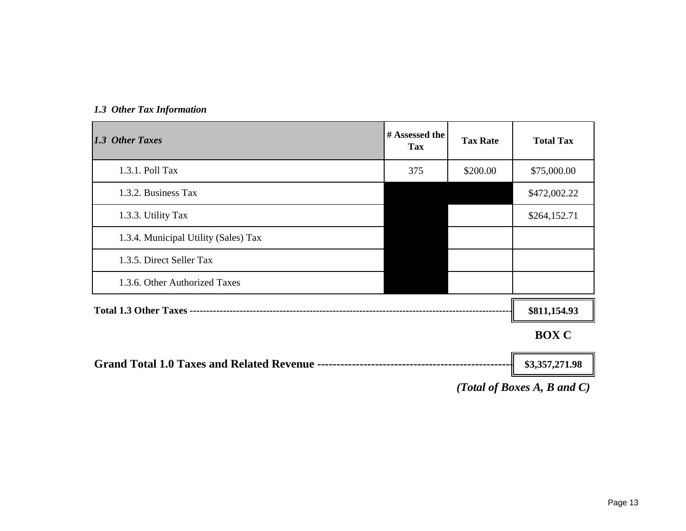| 1.3 Other Taxes                      | # Assessed the<br><b>Tax</b> | <b>Tax Rate</b> | <b>Total Tax</b> |
|--------------------------------------|------------------------------|-----------------|------------------|
| 1.3.1. Poll Tax                      | 375                          | \$200.00        | \$75,000.00      |
| 1.3.2. Business Tax                  |                              |                 | \$472,002.22     |
| 1.3.3. Utility Tax                   |                              |                 | \$264,152.71     |
| 1.3.4. Municipal Utility (Sales) Tax |                              |                 |                  |
| 1.3.5. Direct Seller Tax             |                              |                 |                  |
| 1.3.6. Other Authorized Taxes        |                              |                 |                  |
|                                      |                              |                 | \$811,154.93     |
|                                      |                              |                 | <b>BOX C</b>     |

#### *1.3 Other Tax Information*

**\$3,357,271.98 Grand Total 1.0 Taxes and Related Revenue -------------------------------------------------------------------------------**

*(Total of Boxes A, B and C)*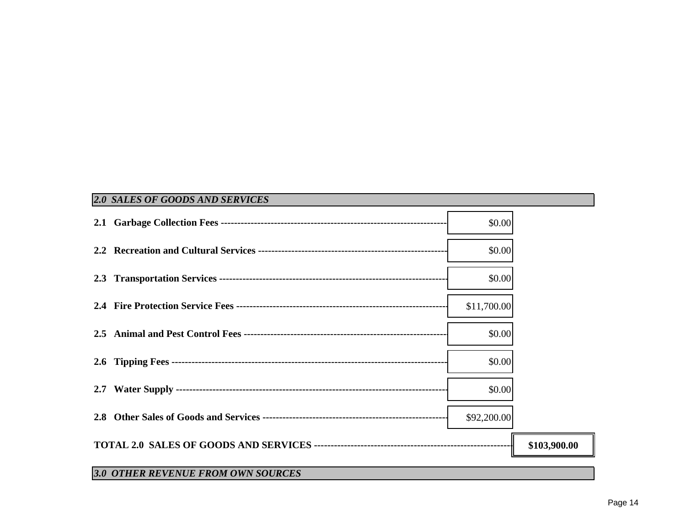|  | <b>2.0 SALES OF GOODS AND SERVICES</b> |              |  |
|--|----------------------------------------|--------------|--|
|  |                                        | \$0.00       |  |
|  |                                        | \$0.00       |  |
|  |                                        | \$0.00       |  |
|  |                                        | \$11,700.00  |  |
|  |                                        | \$0.00       |  |
|  |                                        | \$0.00       |  |
|  |                                        | \$0.00       |  |
|  |                                        | \$92,200.00  |  |
|  |                                        | \$103,900.00 |  |
|  | 3.0 OTHER REVENUE FROM OWN SOURCES     |              |  |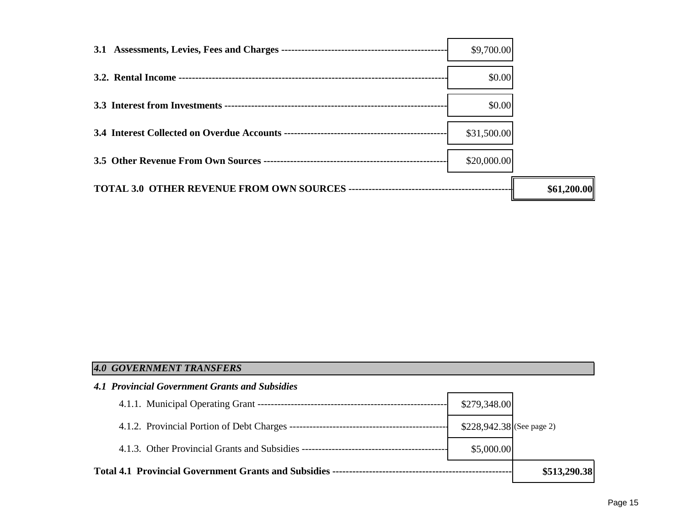| \$9,700.00  |             |
|-------------|-------------|
| \$0.00      |             |
| \$0.00      |             |
| \$31,500.00 |             |
| \$20,000.00 |             |
|             | \$61,200.00 |

| <b>4.0 GOVERNMENT TRANSFERS</b>                       |                           |  |
|-------------------------------------------------------|---------------------------|--|
| <b>4.1 Provincial Government Grants and Subsidies</b> |                           |  |
|                                                       | \$279,348.00              |  |
|                                                       | \$228,942.38 (See page 2) |  |
|                                                       | \$5,000.00                |  |
|                                                       | \$513,290.38              |  |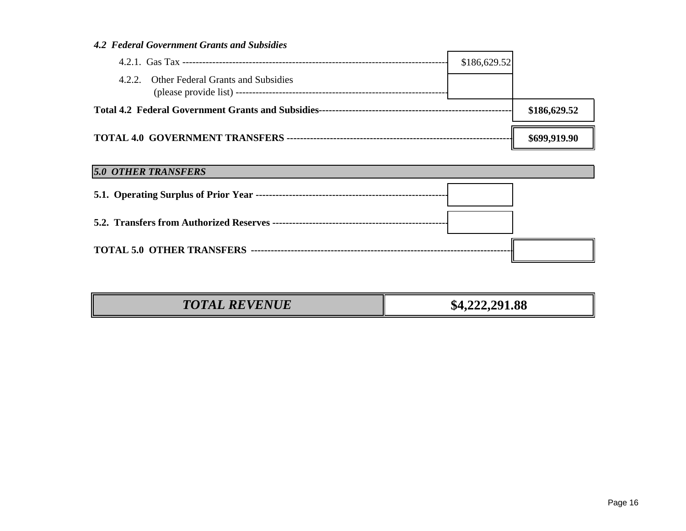| <b>4.2 Federal Government Grants and Subsidies</b>  |              |              |
|-----------------------------------------------------|--------------|--------------|
|                                                     | \$186,629.52 |              |
| <b>Other Federal Grants and Subsidies</b><br>4.2.2. |              |              |
|                                                     |              | \$186,629.52 |
|                                                     |              | \$699,919.90 |
| <b>5.0 OTHER TRANSFERS</b>                          |              |              |
|                                                     |              |              |
|                                                     |              |              |
|                                                     |              |              |
|                                                     |              |              |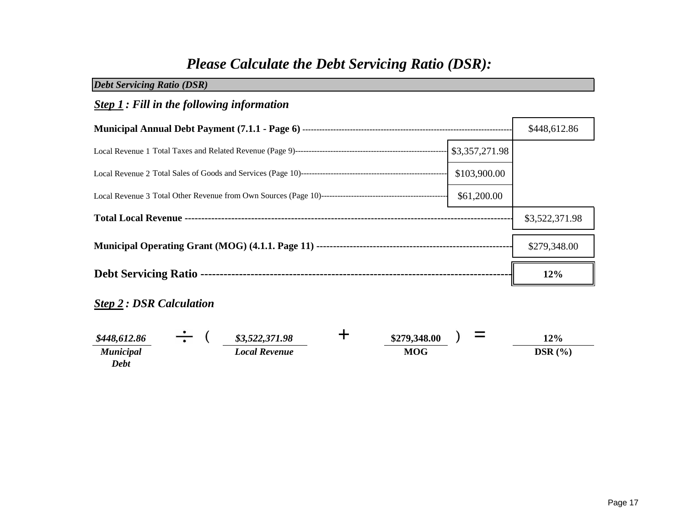## *Please Calculate the Debt Servicing Ratio (DSR):*

## \$448,612.86 Local Revenue 1 \$3,357,271.98 Total Taxes and Related Revenue (Page 9)------------------------------------------------------------------------------------------------------------------------------------------------------- Local Revenue 2 \$103,900.00 Total Sales of Goods and Services (Page 10)------------------------------------------------------------------------------------------------------------------------------------------------------- Local Revenue 3 \$61,200.00 Total Other Revenue from Own Sources (Page 10)------------------------------------------------------------------------------------------------------------------------------------------------------- \$3,522,371.98 \$279,348.00 **12% Debt Servicing Ratio ------------------------------------------------------------------------------------------------------------------------------------------------------- Municipal Operating Grant (MOG) (4.1.1. Page 11) ----------------------------------------------------------------- Municipal Annual Debt Payment (7.1.1 - Page 6) ------------------------------------------------------------------------------------------------------** *Step 1 : Fill in the following information Step 2 : DSR Calculation* **Total Local Revenue ------------------------------------------------------------------------------------------------------------** *Debt Servicing Ratio (DSR)*

| \$448,612.86     | \$3,522,371.98 | \$279,348.00 | -<br>$\overline{\phantom{a}}$ | 12%       |
|------------------|----------------|--------------|-------------------------------|-----------|
| <b>Municipal</b> | Local Revenue  | <b>MOG</b>   |                               | $DSR(\%)$ |
| <b>Debt</b>      |                |              |                               |           |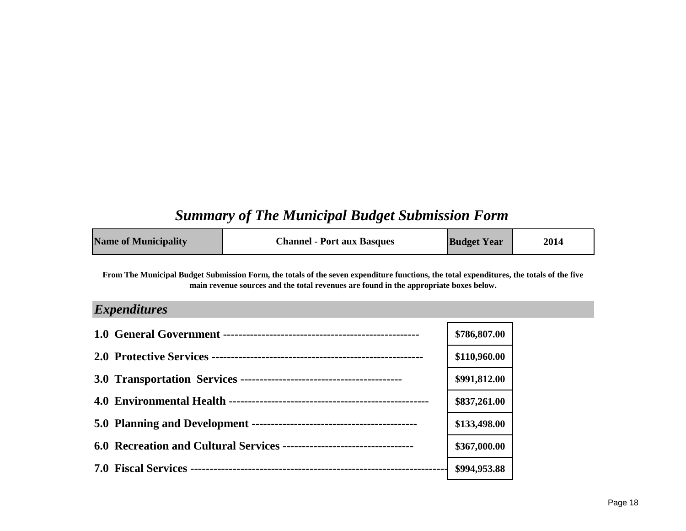# *Summary of The Municipal Budget Submission Form*

| <b>Name of Municipality</b> | <b>Channel - Port aux Basques</b> | <b>Budget Year</b> | 2014 |
|-----------------------------|-----------------------------------|--------------------|------|
|-----------------------------|-----------------------------------|--------------------|------|

**From The Municipal Budget Submission Form, the totals of the seven expenditure functions, the total expenditures, the totals of the five main revenue sources and the total revenues are found in the appropriate boxes below.**

## *Expenditures*

|  | \$786,807.00 |
|--|--------------|
|  | \$110,960.00 |
|  | \$991,812.00 |
|  | \$837,261.00 |
|  | \$133,498.00 |
|  | \$367,000.00 |
|  | \$994,953.88 |